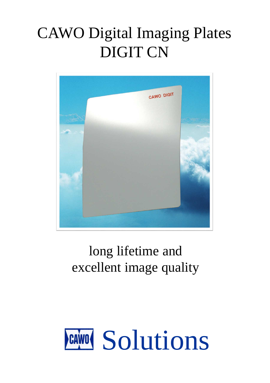# CAWO Digital Imaging Plates DIGIT CN



# long lifetime and excellent image quality